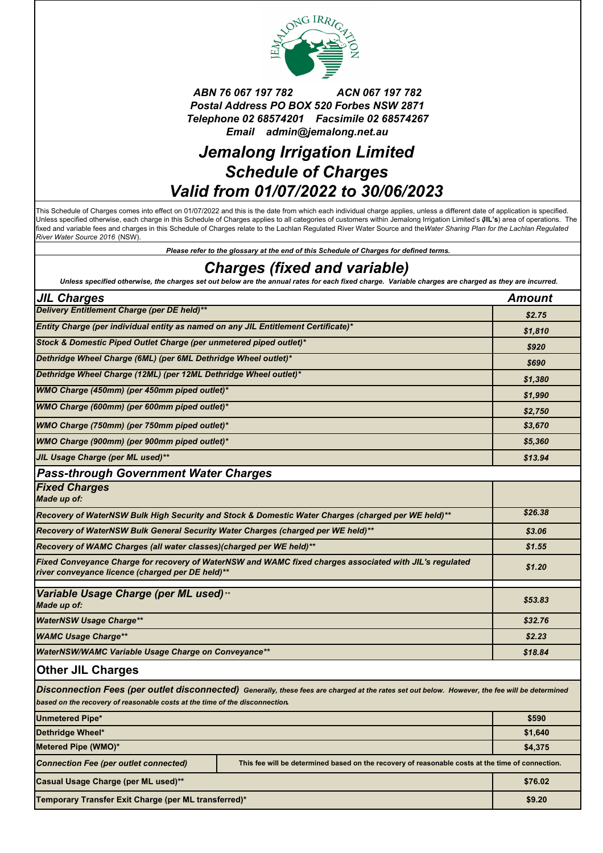

### *ABN 76 067 197 782 ACN 067 197 782 Postal Address PO BOX 520 Forbes NSW 2871 Telephone 02 68574201 Facsimile 02 68574267 Email admin@jemalong.net.au*

# *Jemalong Irrigation Limited Schedule of Charges Valid from 01/07/2022 to 30/06/2023*

This Schedule of Charges comes into effect on 01/07/2022 and this is the date from which each individual charge applies, unless a different date of application is specified. Unless specified otherwise, each charge in this Schedule of Charges applies to all categories of customers within Jemalong Irrigation Limited's (**JIL's**) area of operations. The fixed and variable fees and charges in this Schedule of Charges relate to the Lachlan Regulated River Water Source and the *Water Sharing Plan for the Lachlan Regulated River Water Source 2016* (NSW).

*Please refer to the glossary at the end of this Schedule of Charges for defined terms.*

## *Charges (fixed and variable)*

*Unless specified otherwise, the charges set out below are the annual rates for each fixed charge. Variable charges are charged as they are incurred.*

| <b>JIL Charges</b>                                                                                                                                          |                                                                                                                                                | <b>Amount</b> |
|-------------------------------------------------------------------------------------------------------------------------------------------------------------|------------------------------------------------------------------------------------------------------------------------------------------------|---------------|
| Delivery Entitlement Charge (per DE held)**                                                                                                                 |                                                                                                                                                | \$2.75        |
| Entity Charge (per individual entity as named on any JIL Entitlement Certificate)*                                                                          |                                                                                                                                                | \$1,810       |
| Stock & Domestic Piped Outlet Charge (per unmetered piped outlet)*                                                                                          |                                                                                                                                                | \$920         |
| Dethridge Wheel Charge (6ML) (per 6ML Dethridge Wheel outlet)*                                                                                              |                                                                                                                                                | \$690         |
| Dethridge Wheel Charge (12ML) (per 12ML Dethridge Wheel outlet)*                                                                                            |                                                                                                                                                | \$1,380       |
| WMO Charge (450mm) (per 450mm piped outlet)*                                                                                                                |                                                                                                                                                | \$1,990       |
| WMO Charge (600mm) (per 600mm piped outlet)*                                                                                                                |                                                                                                                                                | \$2,750       |
| WMO Charge (750mm) (per 750mm piped outlet)*                                                                                                                |                                                                                                                                                | \$3,670       |
| WMO Charge (900mm) (per 900mm piped outlet)*                                                                                                                |                                                                                                                                                | \$5,360       |
| JIL Usage Charge (per ML used)**                                                                                                                            |                                                                                                                                                | \$13.94       |
| <b>Pass-through Government Water Charges</b>                                                                                                                |                                                                                                                                                |               |
| <b>Fixed Charges</b><br>Made up of:                                                                                                                         |                                                                                                                                                |               |
| Recovery of WaterNSW Bulk High Security and Stock & Domestic Water Charges (charged per WE held)**                                                          |                                                                                                                                                | \$26.38       |
| Recovery of WaterNSW Bulk General Security Water Charges (charged per WE held)**                                                                            |                                                                                                                                                | \$3.06        |
| Recovery of WAMC Charges (all water classes) (charged per WE held)**                                                                                        |                                                                                                                                                | \$1.55        |
| Fixed Conveyance Charge for recovery of WaterNSW and WAMC fixed charges associated with JIL's regulated<br>river conveyance licence (charged per DE held)** |                                                                                                                                                | \$1.20        |
| Variable Usage Charge (per ML used)**<br>Made up of:                                                                                                        |                                                                                                                                                | \$53.83       |
| <b>WaterNSW Usage Charge**</b>                                                                                                                              |                                                                                                                                                | \$32.76       |
| <b>WAMC Usage Charge**</b>                                                                                                                                  |                                                                                                                                                | \$2.23        |
| <b>WaterNSW/WAMC Variable Usage Charge on Conveyance**</b>                                                                                                  |                                                                                                                                                | \$18.84       |
| <b>Other JIL Charges</b>                                                                                                                                    |                                                                                                                                                |               |
| based on the recovery of reasonable costs at the time of the disconnection.                                                                                 | Disconnection Fees (per outlet disconnected) Generally, these fees are charged at the rates set out below. However, the fee will be determined |               |
| <b>Unmetered Pipe*</b>                                                                                                                                      |                                                                                                                                                | \$590         |
| Dethridge Wheel*                                                                                                                                            |                                                                                                                                                | \$1,640       |
| Metered Pipe (WMO)*                                                                                                                                         |                                                                                                                                                | \$4,375       |
| <b>Connection Fee (per outlet connected)</b>                                                                                                                | This fee will be determined based on the recovery of reasonable costs at the time of connection.                                               |               |
| Casual Usage Charge (per ML used)**                                                                                                                         |                                                                                                                                                | \$76.02       |
| Temporary Transfer Exit Charge (per ML transferred)*                                                                                                        |                                                                                                                                                | \$9.20        |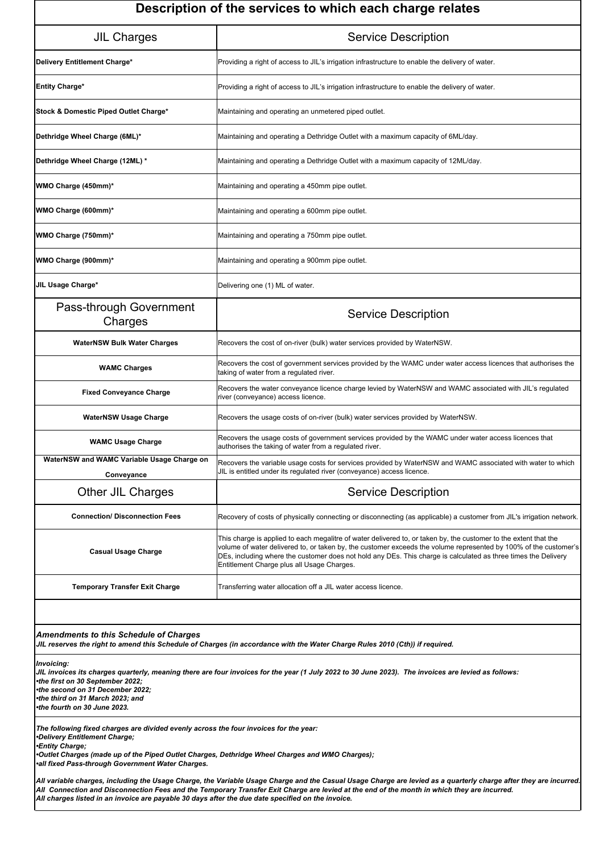| Description of the services to which each charge relates                                                                                                                                                                                  |                                                                                                                                                                                                                                                                                                                                                                                                      |  |
|-------------------------------------------------------------------------------------------------------------------------------------------------------------------------------------------------------------------------------------------|------------------------------------------------------------------------------------------------------------------------------------------------------------------------------------------------------------------------------------------------------------------------------------------------------------------------------------------------------------------------------------------------------|--|
| <b>JIL Charges</b>                                                                                                                                                                                                                        | <b>Service Description</b>                                                                                                                                                                                                                                                                                                                                                                           |  |
| Delivery Entitlement Charge*                                                                                                                                                                                                              | Providing a right of access to JIL's irrigation infrastructure to enable the delivery of water.                                                                                                                                                                                                                                                                                                      |  |
| <b>Entity Charge*</b>                                                                                                                                                                                                                     | Providing a right of access to JIL's irrigation infrastructure to enable the delivery of water.                                                                                                                                                                                                                                                                                                      |  |
| Stock & Domestic Piped Outlet Charge*                                                                                                                                                                                                     | Maintaining and operating an unmetered piped outlet.                                                                                                                                                                                                                                                                                                                                                 |  |
| Dethridge Wheel Charge (6ML)*                                                                                                                                                                                                             | Maintaining and operating a Dethridge Outlet with a maximum capacity of 6ML/day.                                                                                                                                                                                                                                                                                                                     |  |
| Dethridge Wheel Charge (12ML) *                                                                                                                                                                                                           | Maintaining and operating a Dethridge Outlet with a maximum capacity of 12ML/day.                                                                                                                                                                                                                                                                                                                    |  |
| WMO Charge (450mm)*                                                                                                                                                                                                                       | Maintaining and operating a 450mm pipe outlet.                                                                                                                                                                                                                                                                                                                                                       |  |
| WMO Charge (600mm)*                                                                                                                                                                                                                       | Maintaining and operating a 600mm pipe outlet.                                                                                                                                                                                                                                                                                                                                                       |  |
| WMO Charge (750mm)*                                                                                                                                                                                                                       | Maintaining and operating a 750mm pipe outlet.                                                                                                                                                                                                                                                                                                                                                       |  |
| WMO Charge (900mm)*                                                                                                                                                                                                                       | Maintaining and operating a 900mm pipe outlet.                                                                                                                                                                                                                                                                                                                                                       |  |
| JIL Usage Charge*                                                                                                                                                                                                                         | Delivering one (1) ML of water.                                                                                                                                                                                                                                                                                                                                                                      |  |
| Pass-through Government<br>Charges                                                                                                                                                                                                        | <b>Service Description</b>                                                                                                                                                                                                                                                                                                                                                                           |  |
| <b>WaterNSW Bulk Water Charges</b>                                                                                                                                                                                                        | Recovers the cost of on-river (bulk) water services provided by WaterNSW.                                                                                                                                                                                                                                                                                                                            |  |
| <b>WAMC Charges</b>                                                                                                                                                                                                                       | Recovers the cost of government services provided by the WAMC under water access licences that authorises the<br>taking of water from a regulated river.                                                                                                                                                                                                                                             |  |
| <b>Fixed Conveyance Charge</b>                                                                                                                                                                                                            | Recovers the water conveyance licence charge levied by WaterNSW and WAMC associated with JIL's regulated<br>river (conveyance) access licence.                                                                                                                                                                                                                                                       |  |
| <b>WaterNSW Usage Charge</b>                                                                                                                                                                                                              | Recovers the usage costs of on-river (bulk) water services provided by WaterNSW.                                                                                                                                                                                                                                                                                                                     |  |
| <b>WAMC Usage Charge</b>                                                                                                                                                                                                                  | Recovers the usage costs of government services provided by the WAMC under water access licences that<br>authorises the taking of water from a regulated river.                                                                                                                                                                                                                                      |  |
| WaterNSW and WAMC Variable Usage Charge on<br>Conveyance                                                                                                                                                                                  | Recovers the variable usage costs for services provided by WaterNSW and WAMC associated with water to which<br>JIL is entitled under its regulated river (conveyance) access licence.                                                                                                                                                                                                                |  |
| Other JIL Charges                                                                                                                                                                                                                         | <b>Service Description</b>                                                                                                                                                                                                                                                                                                                                                                           |  |
| <b>Connection/ Disconnection Fees</b>                                                                                                                                                                                                     | Recovery of costs of physically connecting or disconnecting (as applicable) a customer from JIL's irrigation network.                                                                                                                                                                                                                                                                                |  |
| <b>Casual Usage Charge</b>                                                                                                                                                                                                                | This charge is applied to each megalitre of water delivered to, or taken by, the customer to the extent that the<br>volume of water delivered to, or taken by, the customer exceeds the volume represented by 100% of the customer's<br>DEs, including where the customer does not hold any DEs. This charge is calculated as three times the Delivery<br>Entitlement Charge plus all Usage Charges. |  |
| <b>Temporary Transfer Exit Charge</b>                                                                                                                                                                                                     | Transferring water allocation off a JIL water access licence.                                                                                                                                                                                                                                                                                                                                        |  |
|                                                                                                                                                                                                                                           |                                                                                                                                                                                                                                                                                                                                                                                                      |  |
| <b>Amendments to this Schedule of Charges</b><br>JIL reserves the right to amend this Schedule of Charges (in accordance with the Water Charge Rules 2010 (Cth)) if required.                                                             |                                                                                                                                                                                                                                                                                                                                                                                                      |  |
| Invoicing:<br>JIL invoices its charges quarterly, meaning there are four invoices for the year (1 July 2022 to 30 June 2023). The invoices are levied as follows:<br>•the first on 30 September 2022;<br>•the second on 31 December 2022; |                                                                                                                                                                                                                                                                                                                                                                                                      |  |

*The following fixed charges are divided evenly across the four invoices for the year: •Delivery Entitlement Charge;*

*•Entity Charge;*

*•the third on 31 March 2023; and •the fourth on 30 June 2023.*

*•Outlet Charges (made up of the Piped Outlet Charge s, Dethridge Wheel Charges and WMO Charges);*

*•all fixed Pass-through Government Water Charges.*

*All variable charges, including the Usage Charge, the Variable Usage Charge and the Casual Usage Charge are levied as a quarterly charge after they are incurred. All Connection and Disconnection Fees and the Temporary Transfer Exit Charge are levied at the end of the month in which they are incurred. All charges listed in an invoice are payable 30 days after the due date specified on the invoice.*